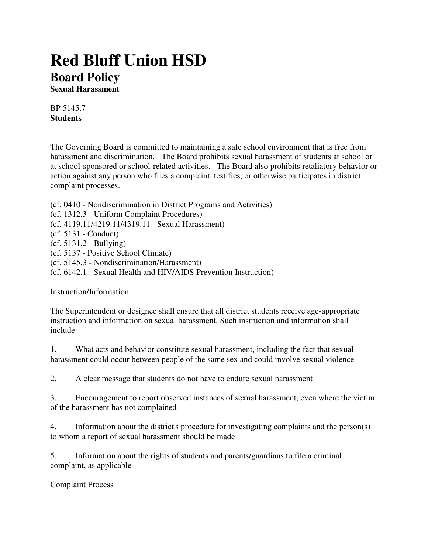## **Red Bluff Union HSD Board Policy**

**Sexual Harassment**

BP 5145.7 **Students**

The Governing Board is committed to maintaining a safe school environment that is free from harassment and discrimination. The Board prohibits sexual harassment of students at school or at school-sponsored or school-related activities. The Board also prohibits retaliatory behavior or action against any person who files a complaint, testifies, or otherwise participates in district complaint processes.

- (cf. 0410 Nondiscrimination in District Programs and Activities)
- (cf. 1312.3 Uniform Complaint Procedures)
- (cf. 4119.11/4219.11/4319.11 Sexual Harassment)
- (cf. 5131 Conduct)
- (cf. 5131.2 Bullying)
- (cf. 5137 Positive School Climate)
- (cf. 5145.3 Nondiscrimination/Harassment)
- (cf. 6142.1 Sexual Health and HIV/AIDS Prevention Instruction)

Instruction/Information

The Superintendent or designee shall ensure that all district students receive age-appropriate instruction and information on sexual harassment. Such instruction and information shall include:

1. What acts and behavior constitute sexual harassment, including the fact that sexual harassment could occur between people of the same sex and could involve sexual violence

2. A clear message that students do not have to endure sexual harassment

3. Encouragement to report observed instances of sexual harassment, even where the victim of the harassment has not complained

4. Information about the district's procedure for investigating complaints and the person(s) to whom a report of sexual harassment should be made

5. Information about the rights of students and parents/guardians to file a criminal complaint, as applicable

Complaint Process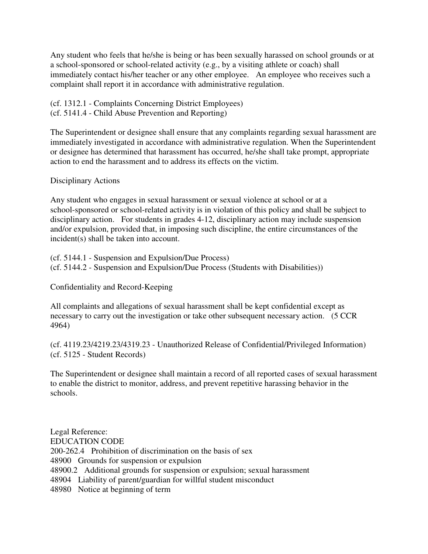Any student who feels that he/she is being or has been sexually harassed on school grounds or at a school-sponsored or school-related activity (e.g., by a visiting athlete or coach) shall immediately contact his/her teacher or any other employee. An employee who receives such a complaint shall report it in accordance with administrative regulation.

- (cf. 1312.1 Complaints Concerning District Employees)
- (cf. 5141.4 Child Abuse Prevention and Reporting)

The Superintendent or designee shall ensure that any complaints regarding sexual harassment are immediately investigated in accordance with administrative regulation. When the Superintendent or designee has determined that harassment has occurred, he/she shall take prompt, appropriate action to end the harassment and to address its effects on the victim.

## Disciplinary Actions

Any student who engages in sexual harassment or sexual violence at school or at a school-sponsored or school-related activity is in violation of this policy and shall be subject to disciplinary action. For students in grades 4-12, disciplinary action may include suspension and/or expulsion, provided that, in imposing such discipline, the entire circumstances of the incident(s) shall be taken into account.

(cf. 5144.1 - Suspension and Expulsion/Due Process) (cf. 5144.2 - Suspension and Expulsion/Due Process (Students with Disabilities))

Confidentiality and Record-Keeping

All complaints and allegations of sexual harassment shall be kept confidential except as necessary to carry out the investigation or take other subsequent necessary action. (5 CCR 4964)

(cf. 4119.23/4219.23/4319.23 - Unauthorized Release of Confidential/Privileged Information) (cf. 5125 - Student Records)

The Superintendent or designee shall maintain a record of all reported cases of sexual harassment to enable the district to monitor, address, and prevent repetitive harassing behavior in the schools.

Legal Reference: EDUCATION CODE 200-262.4 Prohibition of discrimination on the basis of sex 48900 Grounds for suspension or expulsion 48900.2 Additional grounds for suspension or expulsion; sexual harassment 48904 Liability of parent/guardian for willful student misconduct 48980 Notice at beginning of term